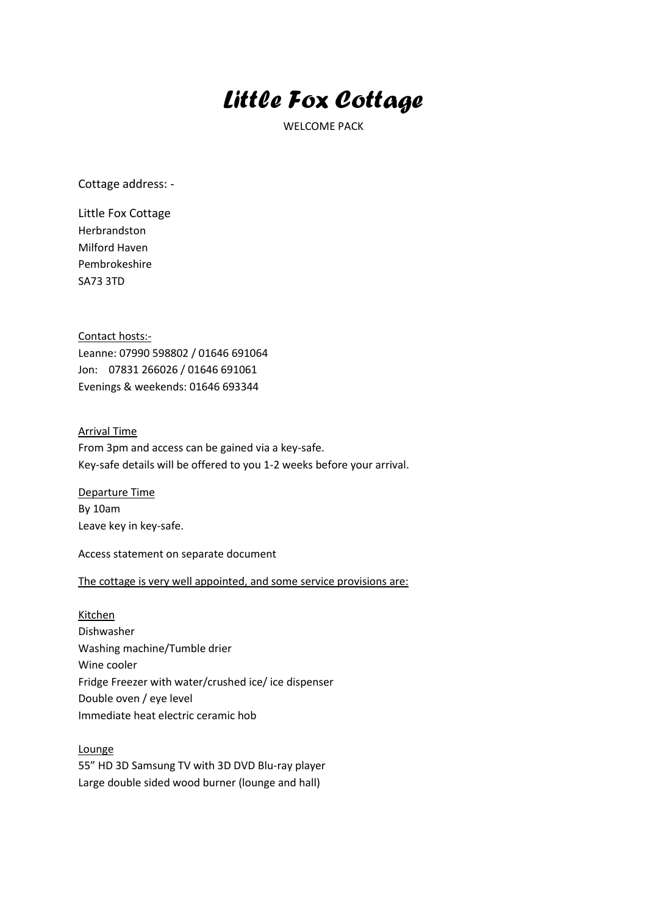## *Little Fox Cottage*

WELCOME PACK

Cottage address: -

Little Fox Cottage Herbrandston Milford Haven Pembrokeshire SA73 3TD

Contact hosts:- Leanne: 07990 598802 / 01646 691064 Jon: 07831 266026 / 01646 691061 Evenings & weekends: 01646 693344

## Arrival Time

From 3pm and access can be gained via a key-safe. Key-safe details will be offered to you 1-2 weeks before your arrival.

Departure Time By 10am Leave key in key-safe.

Access statement on separate document

## The cottage is very well appointed, and some service provisions are:

Kitchen Dishwasher Washing machine/Tumble drier Wine cooler Fridge Freezer with water/crushed ice/ ice dispenser Double oven / eye level Immediate heat electric ceramic hob

Lounge 55" HD 3D Samsung TV with 3D DVD Blu-ray player Large double sided wood burner (lounge and hall)